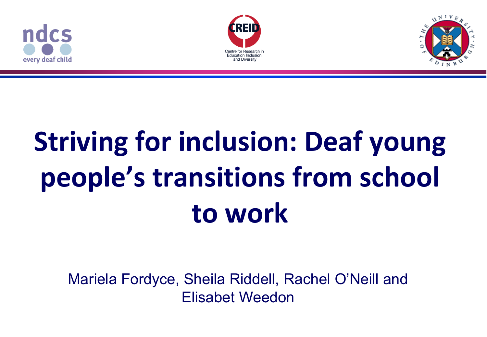





# **Striving for inclusion: Deaf young people's transitions from school to work**

Mariela Fordyce, Sheila Riddell, Rachel O'Neill and Elisabet Weedon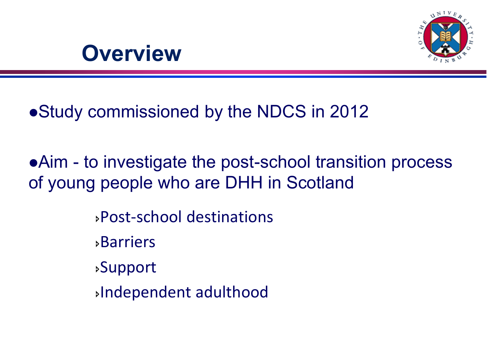

#### **Overview**

Study commissioned by the NDCS in 2012

Aim - to investigate the post-school transition process of young people who are DHH in Scotland

> Post-school destinations Barriers Support Independent adulthood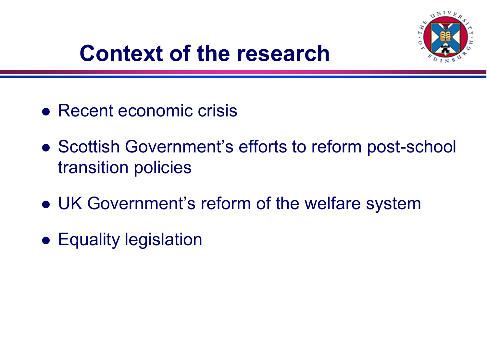

## **Context of the research**

- Recent economic crisis
- Scottish Government's efforts to reform post-school transition policies
- UK Government's reform of the welfare system
- Equality legislation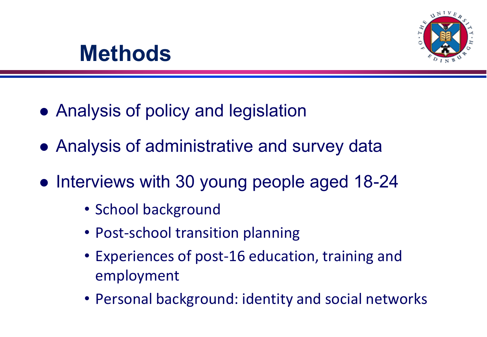

### **Methods**

- Analysis of policy and legislation
- Analysis of administrative and survey data
- Interviews with 30 young people aged 18-24
	- School background
	- Post-school transition planning
	- Experiences of post-16 education, training and employment
	- Personal background: identity and social networks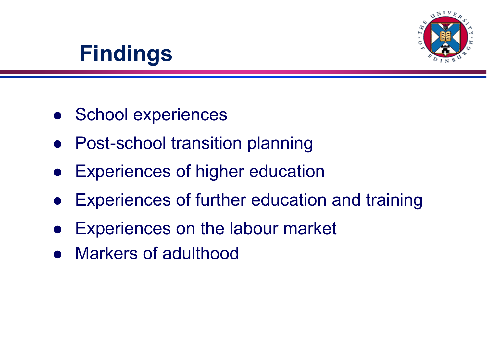

## **Findings**

- School experiences
- Post-school transition planning
- Experiences of higher education
- Experiences of further education and training
- Experiences on the labour market
- Markers of adulthood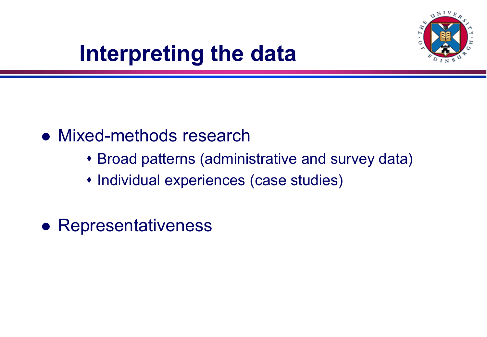

## **Interpreting the data**

#### • Mixed-methods research

- Broad patterns (administrative and survey data)
- Individual experiences (case studies)
- Representativeness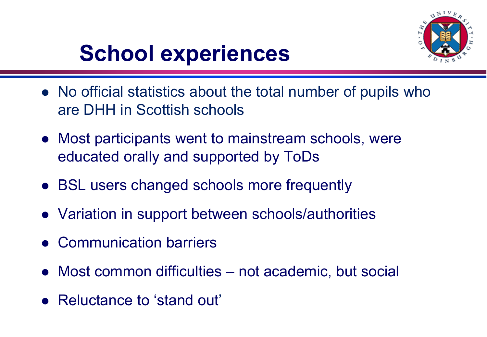

## **School experiences**

- No official statistics about the total number of pupils who are DHH in Scottish schools
- Most participants went to mainstream schools, were educated orally and supported by ToDs
- BSL users changed schools more frequently
- Variation in support between schools/authorities
- Communication barriers
- Most common difficulties not academic, but social
- Reluctance to 'stand out'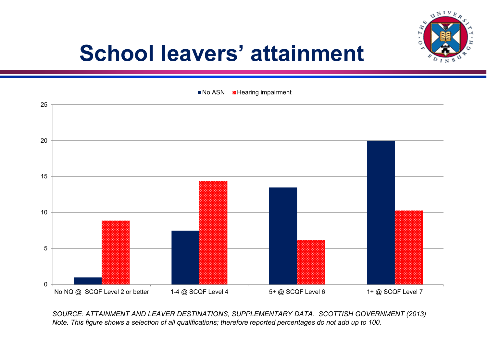

## **School leavers' attainment**



*SOURCE: ATTAINMENT AND LEAVER DESTINATIONS, SUPPLEMENTARY DATA. SCOTTISH GOVERNMENT (2013) Note. This figure shows a selection of all qualifications; therefore reported percentages do not add up to 100.*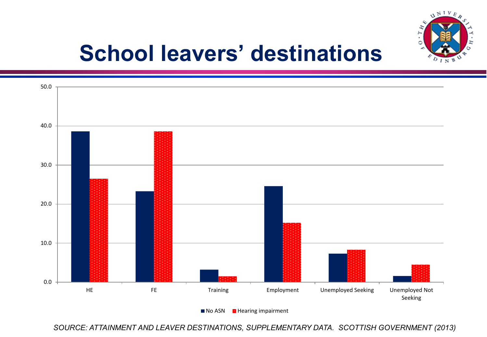

## **School leavers' destinations**



 $\blacksquare$  No ASN  $\blacksquare$  Hearing impairment

*SOURCE: ATTAINMENT AND LEAVER DESTINATIONS, SUPPLEMENTARY DATA. SCOTTISH GOVERNMENT (2013)*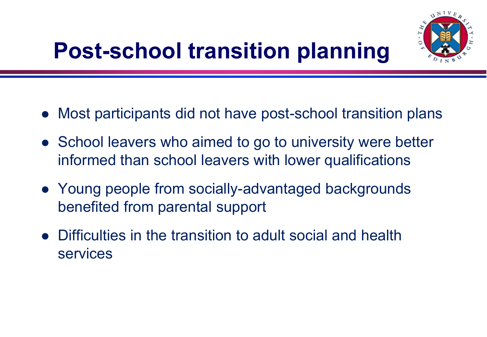## **Post-school transition planning**



- Most participants did not have post-school transition plans
- School leavers who aimed to go to university were better informed than school leavers with lower qualifications
- Young people from socially-advantaged backgrounds benefited from parental support
- Difficulties in the transition to adult social and health services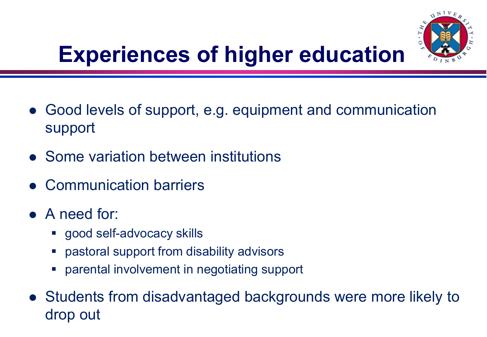

## **Experiences of higher education**

- Good levels of support, e.g. equipment and communication support
- Some variation between institutions
- Communication barriers
- A need for:
	- **good self-advocacy skills**
	- pastoral support from disability advisors
	- parental involvement in negotiating support
- Students from disadvantaged backgrounds were more likely to drop out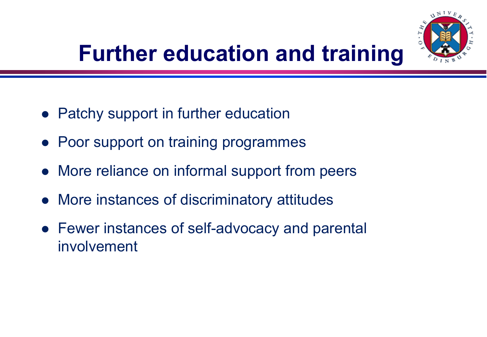

## **Further education and training**

- Patchy support in further education
- Poor support on training programmes
- More reliance on informal support from peers
- More instances of discriminatory attitudes
- Fewer instances of self-advocacy and parental involvement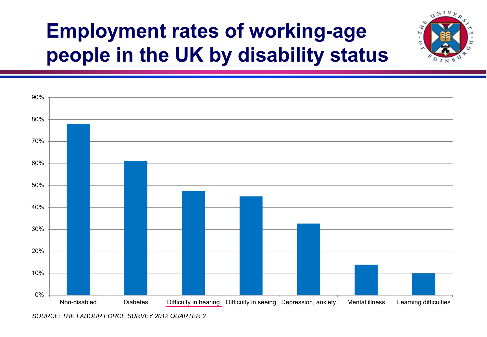## **Employment rates of working-age people in the UK by disability status**

 $\Delta NIVE$ 



*SOURCE: THE LABOUR FORCE SURVEY 2012 QUARTER 2*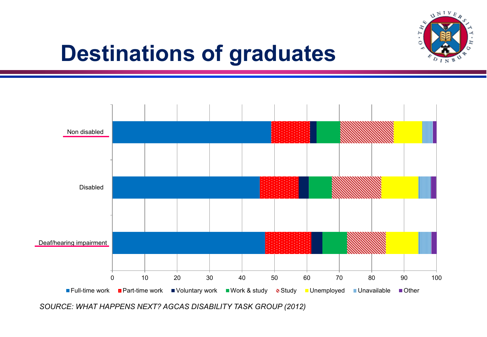

## **Destinations of graduates**



*SOURCE: WHAT HAPPENS NEXT? AGCAS DISABILITY TASK GROUP (2012)*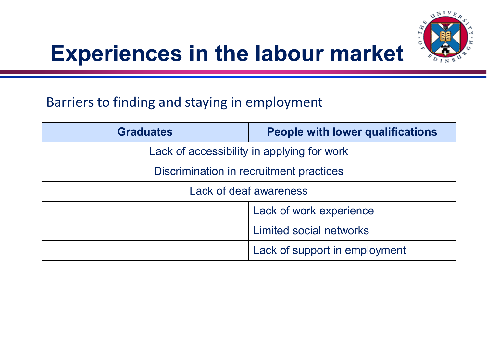

## **Experiences in the labour market**

#### Barriers to finding and staying in employment

| <b>Graduates</b>                           | <b>People with lower qualifications</b> |
|--------------------------------------------|-----------------------------------------|
| Lack of accessibility in applying for work |                                         |
| Discrimination in recruitment practices    |                                         |
| Lack of deaf awareness                     |                                         |
|                                            | Lack of work experience                 |
|                                            | Limited social networks                 |
|                                            | Lack of support in employment           |
|                                            |                                         |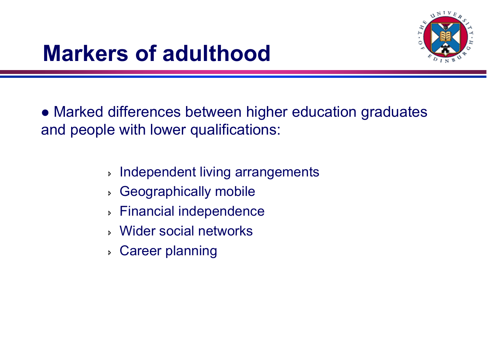

## **Markers of adulthood**

 Marked differences between higher education graduates and people with lower qualifications:

- **Independent living arrangements**
- Geographically mobile
- Financial independence
- Wider social networks
- Career planning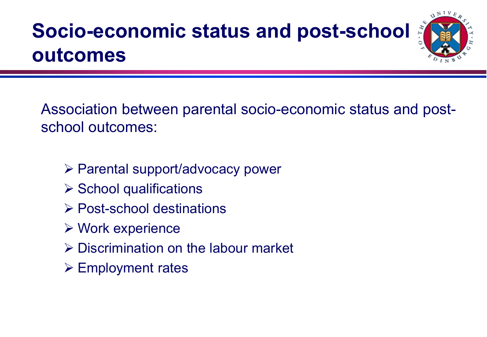## **Socio-economic status and post-school outcomes**



- Parental support/advocacy power
- $\triangleright$  School qualifications
- **► Post-school destinations**
- $\triangleright$  Work experience
- Discrimination on the labour market
- $\triangleright$  Employment rates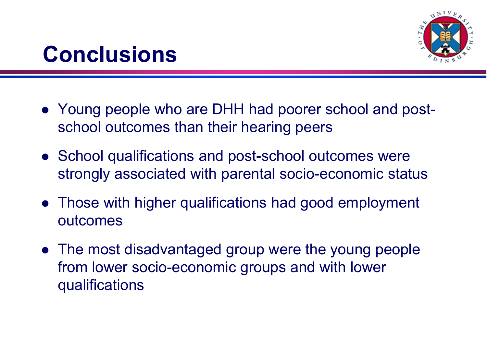

#### **Conclusions**

- Young people who are DHH had poorer school and postschool outcomes than their hearing peers
- School qualifications and post-school outcomes were strongly associated with parental socio-economic status
- Those with higher qualifications had good employment outcomes
- The most disadvantaged group were the young people from lower socio-economic groups and with lower qualifications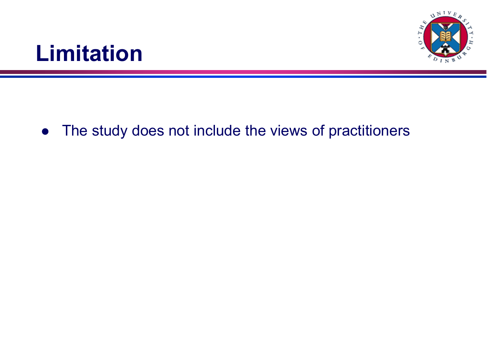

### **Limitation**

• The study does not include the views of practitioners